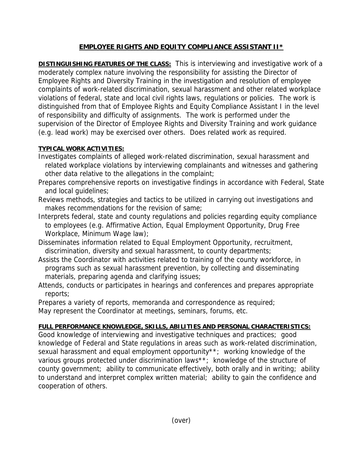## **EMPLOYEE RIGHTS AND EQUITY COMPLIANCE ASSISTANT II\***

**DISTINGUISHING FEATURES OF THE CLASS:** This is interviewing and investigative work of a moderately complex nature involving the responsibility for assisting the Director of Employee Rights and Diversity Training in the investigation and resolution of employee complaints of work-related discrimination, sexual harassment and other related workplace violations of federal, state and local civil rights laws, regulations or policies. The work is distinguished from that of Employee Rights and Equity Compliance Assistant I in the level of responsibility and difficulty of assignments. The work is performed under the supervision of the Director of Employee Rights and Diversity Training and work guidance (e.g. lead work) may be exercised over others. Does related work as required.

## **TYPICAL WORK ACTIVITIES:**

- Investigates complaints of alleged work-related discrimination, sexual harassment and related workplace violations by interviewing complainants and witnesses and gathering other data relative to the allegations in the complaint;
- Prepares comprehensive reports on investigative findings in accordance with Federal, State and local guidelines;
- Reviews methods, strategies and tactics to be utilized in carrying out investigations and makes recommendations for the revision of same;
- Interprets federal, state and county regulations and policies regarding equity compliance to employees (e.g. Affirmative Action, Equal Employment Opportunity, Drug Free Workplace, Minimum Wage law);
- Disseminates information related to Equal Employment Opportunity, recruitment, discrimination, diversity and sexual harassment, to county departments;
- Assists the Coordinator with activities related to training of the county workforce, in programs such as sexual harassment prevention, by collecting and disseminating materials, preparing agenda and clarifying issues;
- Attends, conducts or participates in hearings and conferences and prepares appropriate reports;

Prepares a variety of reports, memoranda and correspondence as required; May represent the Coordinator at meetings, seminars, forums, etc.

## **FULL PERFORMANCE KNOWLEDGE, SKILLS, ABILITIES AND PERSONAL CHARACTERISTICS:**

Good knowledge of interviewing and investigative techniques and practices; good knowledge of Federal and State regulations in areas such as work-related discrimination, sexual harassment and equal employment opportunity\*\*; working knowledge of the various groups protected under discrimination laws\*\*; knowledge of the structure of county government; ability to communicate effectively, both orally and in writing; ability to understand and interpret complex written material; ability to gain the confidence and cooperation of others.